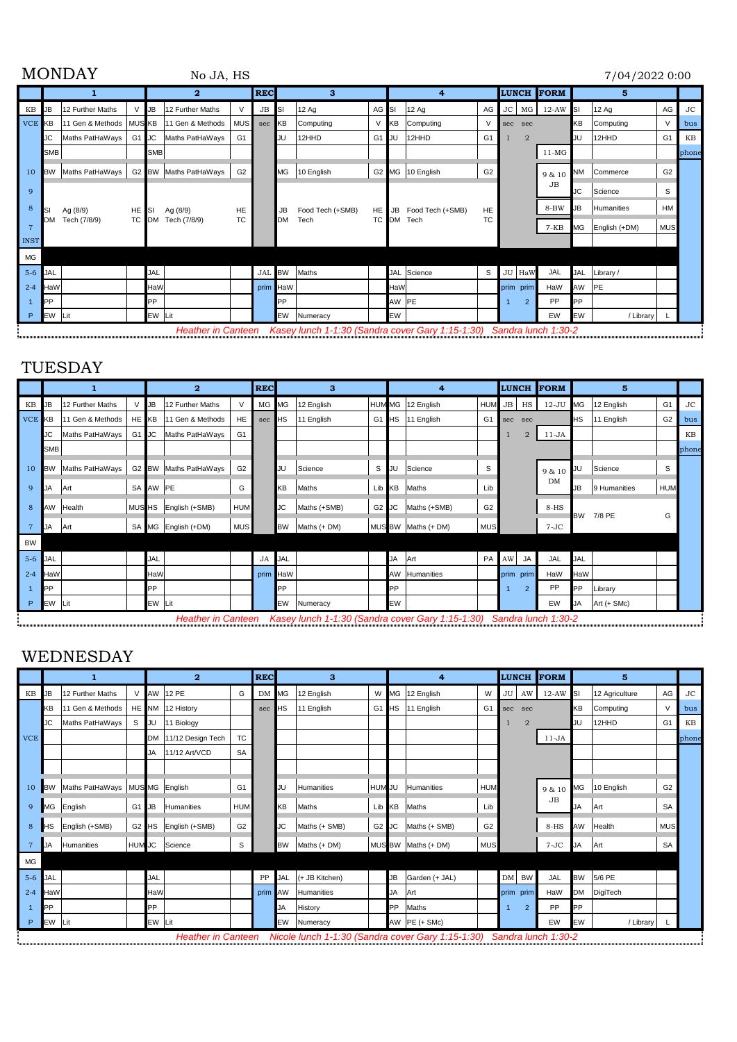|            | <b>MONDAY</b>    |                                                                       |     |                                                      |                                                                                                                                     |           |            |                                                                          |                                                                  | 7/04/2022 0:00 |                              |                                                                             |     |                |                                               |                      |                                                                                                             |                                                                                               |                         |
|------------|------------------|-----------------------------------------------------------------------|-----|------------------------------------------------------|-------------------------------------------------------------------------------------------------------------------------------------|-----------|------------|--------------------------------------------------------------------------|------------------------------------------------------------------|----------------|------------------------------|-----------------------------------------------------------------------------|-----|----------------|-----------------------------------------------|----------------------|-------------------------------------------------------------------------------------------------------------|-----------------------------------------------------------------------------------------------|-------------------------|
|            |                  | 2                                                                     |     | <b>REC</b><br>3                                      |                                                                                                                                     |           |            | 4                                                                        |                                                                  |                |                              |                                                                             |     | 5              |                                               |                      |                                                                                                             |                                                                                               |                         |
| <b>JB</b>  | 12 Further Maths | V                                                                     |     | 12 Further Maths                                     | $\vee$                                                                                                                              | JB        |            | 12Aq                                                                     |                                                                  |                | 12 Ag                        | AG                                                                          |     |                | $12-AW$                                       |                      | 12Aq                                                                                                        | AG                                                                                            | <b>JC</b>               |
| VCE KB     |                  |                                                                       |     |                                                      |                                                                                                                                     | sec       | KΒ         |                                                                          | V                                                                | KΒ             | Computing                    | V                                                                           | sec |                |                                               | KВ                   |                                                                                                             | V                                                                                             | bus                     |
| JC         |                  |                                                                       |     |                                                      | G <sub>1</sub>                                                                                                                      |           |            | 12HHD                                                                    | G <sub>1</sub>                                                   | JU             | 12HHD                        | G <sub>1</sub>                                                              |     | $\overline{2}$ |                                               | JU                   | 12HHD                                                                                                       | G <sub>1</sub>                                                                                | KB                      |
| <b>SMB</b> |                  |                                                                       |     |                                                      |                                                                                                                                     |           |            |                                                                          |                                                                  |                |                              |                                                                             |     |                | $11-MG$                                       |                      |                                                                                                             |                                                                                               | phone                   |
| <b>BW</b>  |                  |                                                                       |     |                                                      | G <sub>2</sub>                                                                                                                      |           |            |                                                                          |                                                                  |                |                              | G <sub>2</sub>                                                              |     |                | 9 & 10                                        | NM                   |                                                                                                             | G <sub>2</sub>                                                                                |                         |
|            |                  |                                                                       |     |                                                      |                                                                                                                                     |           |            |                                                                          |                                                                  |                |                              |                                                                             |     |                | JB                                            | JС                   |                                                                                                             | S                                                                                             |                         |
| SI         |                  |                                                                       |     |                                                      | HE                                                                                                                                  |           | JB         |                                                                          |                                                                  | JB             |                              | HE                                                                          |     |                | 8-BW                                          | JB                   |                                                                                                             | <b>HM</b>                                                                                     |                         |
| <b>DM</b>  |                  |                                                                       |     |                                                      | TC                                                                                                                                  |           |            | Tech                                                                     |                                                                  |                |                              | TC                                                                          |     |                | $7-KB$                                        | МG                   |                                                                                                             |                                                                                               |                         |
|            |                  |                                                                       |     |                                                      |                                                                                                                                     |           |            |                                                                          |                                                                  |                |                              |                                                                             |     |                |                                               |                      |                                                                                                             |                                                                                               |                         |
|            |                  |                                                                       |     |                                                      |                                                                                                                                     |           |            |                                                                          |                                                                  |                |                              |                                                                             |     |                |                                               |                      |                                                                                                             |                                                                                               |                         |
| <b>JAL</b> |                  |                                                                       | JAL |                                                      |                                                                                                                                     |           |            |                                                                          |                                                                  |                |                              | S                                                                           |     |                | JAL                                           |                      |                                                                                                             |                                                                                               |                         |
| HaW        |                  |                                                                       |     |                                                      |                                                                                                                                     |           |            |                                                                          |                                                                  |                |                              |                                                                             |     |                | HaW                                           | AW                   |                                                                                                             |                                                                                               |                         |
| PP         |                  |                                                                       | PP  |                                                      |                                                                                                                                     |           | PP         |                                                                          |                                                                  |                |                              |                                                                             |     | $\overline{2}$ | PP                                            | <b>PP</b>            |                                                                                                             |                                                                                               |                         |
| EW         |                  |                                                                       |     |                                                      |                                                                                                                                     |           |            |                                                                          |                                                                  |                |                              |                                                                             |     |                | EW                                            | EW                   |                                                                                                             |                                                                                               |                         |
|            |                  | Maths PatHaWays<br>Maths PatHaWays<br>Ag (8/9)<br>Tech (7/8/9)<br>Lit |     | $\mathsf{U}$ B<br>11 Gen & Methods   MUS KB<br>HE SI | 11 Gen & Methods<br>G1 JC Maths PatHaWays<br><b>SMB</b><br>G2 BW Maths PatHaWays<br>Ag (8/9)<br>TC DM Tech (7/8/9)<br>HaW<br>EW Lit | No JA, HS | <b>MUS</b> | <b>I</b> SI<br>JU<br><b>MG</b><br><b>IDM</b><br>JAL BW<br>prim HaW<br>EW | Computing<br>10 English<br>Food Tech (+SMB)<br>Maths<br>Numeracy |                | AG SI<br>HE I<br>TC DM<br>EW | G2 MG 10 English<br>Food Tech (+SMB)<br>Tech<br>JAL Science<br>HaW<br>AW PE |     |                | <b>LUNCH</b><br>sec<br>JU HaW<br>prim<br>prim | <b>FORM</b><br>JC MG | <b>ISI</b><br>Unather in Cantaon $V_{200}$ , lungh 1,100 (Candro count Can 1,15, 1,00). Candro lungh 1,00.0 | Computing<br>Commerce<br>Science<br>Humanities<br>English (+DM)<br>JAL Library /<br><b>PE</b> | <b>MUS</b><br>/ Library |

 *Heather in Canteen Kasey lunch 1-1:30 (Sandra cover Gary 1:15-1:30) Sandra lunch 1:30-2*

## TUESDAY

|            |            |                  |       | $\overline{2}$ |                           |                | <b>REC</b> | 3         |              | 4                 |           |                                                                      | <b>LUNCH</b>   |       | <b>FORM</b>    | 5       |            |              |                |           |
|------------|------------|------------------|-------|----------------|---------------------------|----------------|------------|-----------|--------------|-------------------|-----------|----------------------------------------------------------------------|----------------|-------|----------------|---------|------------|--------------|----------------|-----------|
| KВ         | JB         | 12 Further Maths |       | <b>I</b> JB    | 12 Further Maths          | $\vee$         | MG MG      |           | 12 English   | <b>HUM MG</b>     |           | 12 English                                                           | <b>HUM</b>     |       | JB HS          | $12-JU$ | <b>MG</b>  | 12 English   | G <sub>1</sub> | <b>JC</b> |
| <b>VCE</b> | <b>KB</b>  | 11 Gen & Methods | HE KB |                | 11 Gen & Methods          | HE             | sec        | <b>HS</b> | 11 English   | G <sub>1</sub>    | <b>HS</b> | 11 English                                                           | G <sub>1</sub> | sec   | sec            |         | <b>HS</b>  | 11 English   | G <sub>2</sub> | bus       |
|            | JC         | Maths PatHaWays  | G1 JC |                | Maths PatHaWays           | G <sub>1</sub> |            |           |              |                   |           |                                                                      |                |       | $\overline{2}$ | $11-JA$ |            |              |                | KB        |
|            | <b>SMB</b> |                  |       |                |                           |                |            |           |              |                   |           |                                                                      |                |       |                |         |            |              |                | phone     |
| 10         | <b>BW</b>  | Maths PatHaWays  |       |                | G2 BW Maths PatHaWays     | G <sub>2</sub> |            | JU        | Science      | S                 | JU        | Science                                                              | S              |       |                | 9 & 10  | JU         | Science      | S              |           |
| 9          | JA         | lArt             |       | SA AW PE       |                           | G              |            | ΚB        | Maths        | Lib               | KΒ        | Maths                                                                | Lib            |       |                | DM      | JB         | 9 Humanities | <b>HUM</b>     |           |
| 8          | AW         | Health           |       |                | MUS HS English (+SMB)     | <b>HUM</b>     |            | <b>JC</b> | Maths (+SMB) | G <sub>2</sub> JC |           | Maths (+SMB)                                                         | G <sub>2</sub> |       |                | 8-HS    | <b>BW</b>  | 7/8 PE       | G              |           |
|            | <b>JA</b>  | Art              |       |                | SA MG English (+DM)       | <b>MUS</b>     |            | <b>BW</b> | Maths (+ DM) |                   |           | MUS BW Maths (+ DM)                                                  | <b>MUS</b>     |       |                | $7-JC$  |            |              |                |           |
| <b>BW</b>  |            |                  |       |                |                           |                |            |           |              |                   |           |                                                                      |                |       |                |         |            |              |                |           |
| $5-6$      | <b>JAL</b> |                  |       | <b>JAL</b>     |                           |                | JA JAL     |           |              |                   | JA        | <b>Art</b>                                                           |                | PA AW | JA             | JAL     | <b>JAL</b> |              |                |           |
| $2 - 4$    | HaW        |                  |       | HaW            |                           |                | prim HaW   |           |              |                   |           | AW Humanities                                                        |                | prim  | prim           | HaW     | HaW        |              |                |           |
|            | PP         |                  |       | <b>PP</b>      |                           |                |            | PP        |              |                   | PP        |                                                                      |                |       | $\overline{2}$ | PP      | <b>PP</b>  | Library      |                |           |
| P          | EW Lit     |                  |       | EW Lit         |                           |                |            | EW        | Numeracy     |                   | EW        |                                                                      |                |       |                | EW      | <b>JA</b>  | Art (+ SMc)  |                |           |
|            |            |                  |       |                | <b>Heather in Canteen</b> |                |            |           |              |                   |           | Kasey lunch 1-1:30 (Sandra cover Gary 1:15-1:30) Sandra lunch 1:30-2 |                |       |                |         |            |              |                |           |

## WEDNESDAY

|            | 1          |                  |               | $\overline{2}$ |                           |                | <b>REC</b> | 3         |                       | 4              |    |                                                                       | <b>LUNCH</b>   |      | <b>FORM</b>    | 5       |           |                |                |           |
|------------|------------|------------------|---------------|----------------|---------------------------|----------------|------------|-----------|-----------------------|----------------|----|-----------------------------------------------------------------------|----------------|------|----------------|---------|-----------|----------------|----------------|-----------|
| KВ         | <b>JB</b>  | 12 Further Maths | V             |                | AW 12 PE                  | G              | DM MG      |           | 12 English            | W              | МG | 12 English                                                            | W              |      | JU AW          | $12-AW$ | SI        | 12 Agriculture | AG             | <b>JC</b> |
|            | KΒ         | 11 Gen & Methods |               |                | HE NM 12 History          |                | sec        | НS        | 11 English            | G <sub>1</sub> | НS | 11 English                                                            | G <sub>1</sub> | sec  | sec            |         | KΒ        | Computing      | $\vee$         | bus       |
|            | JC         | Maths PatHaWays  | S             | JU             | 11 Biology                |                |            |           |                       |                |    |                                                                       |                |      | $\overline{2}$ |         | JU        | 12HHD          | G <sub>1</sub> | KB        |
| <b>VCE</b> |            |                  |               |                | DM 11/12 Design Tech      | <b>TC</b>      |            |           |                       |                |    |                                                                       |                |      |                | $11-JA$ |           |                |                | phone     |
|            |            |                  |               | JA             | 11/12 Art/VCD             | <b>SA</b>      |            |           |                       |                |    |                                                                       |                |      |                |         |           |                |                |           |
|            |            |                  |               |                |                           |                |            |           |                       |                |    |                                                                       |                |      |                |         |           |                |                |           |
| 10         | <b>BW</b>  | Maths PatHaWays  |               |                | MUS MG English            | G <sub>1</sub> |            | JU        | Humanities            | <b>HUM</b>     | JU | Humanities                                                            | <b>HUM</b>     |      |                | 9 & 10  | МG        | 10 English     | G <sub>2</sub> |           |
| 9          | MG         | English          | G1 JB         |                | Humanities                | <b>HUM</b>     |            | KB        | Maths                 | Lib            | KB | Maths                                                                 | Lib            |      |                | JB      | JA        | Art            | SA             |           |
| 8          | HS         | English (+SMB)   |               |                | G2 HS English (+SMB)      | G <sub>2</sub> |            | JС        | Maths (+ SMB)         | G2             | JC | Maths (+ SMB)                                                         | G <sub>2</sub> |      |                | $8-HS$  | AW        | Health         | <b>MUS</b>     |           |
| -7         | JA         | Humanities       | <b>HUM JC</b> |                | Science                   | S              |            | <b>BW</b> | Maths (+ DM)          |                |    | MUS BW   Maths (+ DM)                                                 | <b>MUS</b>     |      |                | $7-JC$  | <b>JA</b> | Art            | SA             |           |
| <b>MG</b>  |            |                  |               |                |                           |                |            |           |                       |                |    |                                                                       |                |      |                |         |           |                |                |           |
| $5-6$      | <b>JAL</b> |                  |               | <b>JAL</b>     |                           |                |            |           | PP JAL (+ JB Kitchen) |                | JB | Garden (+ JAL)                                                        |                |      | DM BW          | JAL     |           | BW 5/6 PE      |                |           |
| $2 - 4$    | HaW        |                  |               | HaW            |                           |                | prim       | AW        | Humanities            |                | JA | Art                                                                   |                | prim | prim           | HaW     | <b>DM</b> | DigiTech       |                |           |
|            | <b>PP</b>  |                  |               | <b>PP</b>      |                           |                |            | JA        | History               |                | PP | Maths                                                                 |                |      | 2              | PP      | PP        |                |                |           |
| P          | EW Lit     |                  |               | EW Lit         |                           |                |            | EW        | Numeracy              |                |    | AW $PE (+ SMC)$                                                       |                |      |                | EW      | EW        | / Library      |                |           |
|            |            |                  |               |                | <b>Heather in Canteen</b> |                |            |           |                       |                |    | Nicole lunch 1-1:30 (Sandra cover Gary 1:15-1:30) Sandra lunch 1:30-2 |                |      |                |         |           |                |                |           |